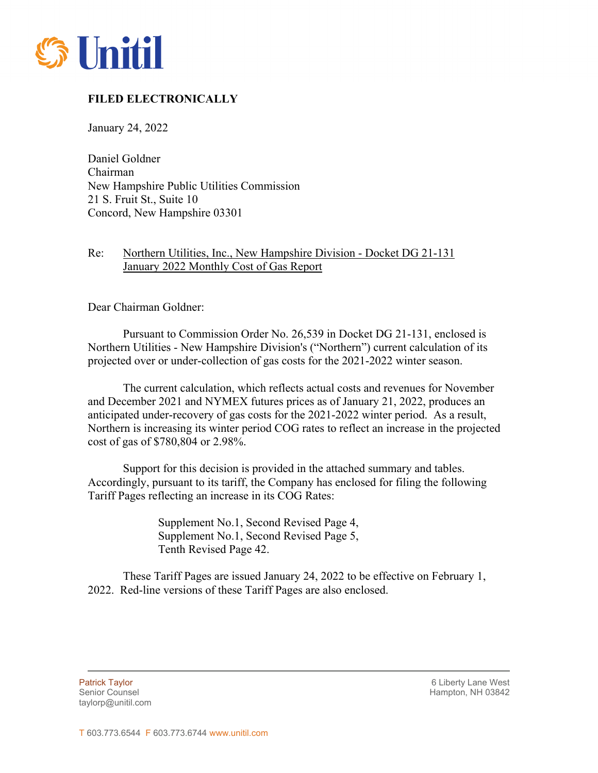

## **FILED ELECTRONICALLY**

January 24, 2022

Daniel Goldner Chairman New Hampshire Public Utilities Commission 21 S. Fruit St., Suite 10 Concord, New Hampshire 03301

## Re: Northern Utilities, Inc., New Hampshire Division - Docket DG 21-131 January 2022 Monthly Cost of Gas Report

Dear Chairman Goldner:

Pursuant to Commission Order No. 26,539 in Docket DG 21-131, enclosed is Northern Utilities - New Hampshire Division's ("Northern") current calculation of its projected over or under-collection of gas costs for the 2021-2022 winter season.

The current calculation, which reflects actual costs and revenues for November and December 2021 and NYMEX futures prices as of January 21, 2022, produces an anticipated under-recovery of gas costs for the 2021-2022 winter period. As a result, Northern is increasing its winter period COG rates to reflect an increase in the projected cost of gas of \$780,804 or 2.98%.

Support for this decision is provided in the attached summary and tables. Accordingly, pursuant to its tariff, the Company has enclosed for filing the following Tariff Pages reflecting an increase in its COG Rates:

> Supplement No.1, Second Revised Page 4, Supplement No.1, Second Revised Page 5, Tenth Revised Page 42.

These Tariff Pages are issued January 24, 2022 to be effective on February 1, 2022. Red-line versions of these Tariff Pages are also enclosed.

taylorp@unitil.com

l

Patrick Taylor 6 Liberty Lane West Senior Counsel New York 1988 and the Senior Counsel Hampton, NH 03842